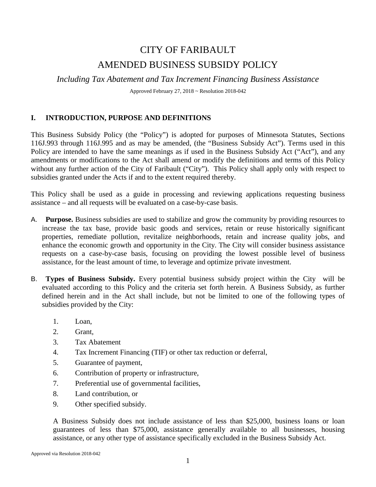# CITY OF FARIBAULT AMENDED BUSINESS SUBSIDY POLICY

*Including Tax Abatement and Tax Increment Financing Business Assistance*

Approved February 27, 2018 ~ Resolution 2018-042

### **I. INTRODUCTION, PURPOSE AND DEFINITIONS**

This Business Subsidy Policy (the "Policy") is adopted for purposes of Minnesota Statutes, Sections 116J.993 through 116J.995 and as may be amended, (the "Business Subsidy Act"). Terms used in this Policy are intended to have the same meanings as if used in the Business Subsidy Act ("Act"), and any amendments or modifications to the Act shall amend or modify the definitions and terms of this Policy without any further action of the City of Faribault ("City"). This Policy shall apply only with respect to subsidies granted under the Acts if and to the extent required thereby.

This Policy shall be used as a guide in processing and reviewing applications requesting business assistance – and all requests will be evaluated on a case-by-case basis.

- A. **Purpose.** Business subsidies are used to stabilize and grow the community by providing resources to increase the tax base, provide basic goods and services, retain or reuse historically significant properties, remediate pollution, revitalize neighborhoods, retain and increase quality jobs, and enhance the economic growth and opportunity in the City. The City will consider business assistance requests on a case-by-case basis, focusing on providing the lowest possible level of business assistance, for the least amount of time, to leverage and optimize private investment.
- B. **Types of Business Subsidy.** Every potential business subsidy project within the City will be evaluated according to this Policy and the criteria set forth herein. A Business Subsidy, as further defined herein and in the Act shall include, but not be limited to one of the following types of subsidies provided by the City:
	- 1. Loan,
	- 2. Grant,
	- 3. Tax Abatement
	- 4. Tax Increment Financing (TIF) or other tax reduction or deferral,
	- 5. Guarantee of payment,
	- 6. Contribution of property or infrastructure,
	- 7. Preferential use of governmental facilities,
	- 8. Land contribution, or
	- 9. Other specified subsidy.

A Business Subsidy does not include assistance of less than \$25,000, business loans or loan guarantees of less than \$75,000, assistance generally available to all businesses, housing assistance, or any other type of assistance specifically excluded in the Business Subsidy Act.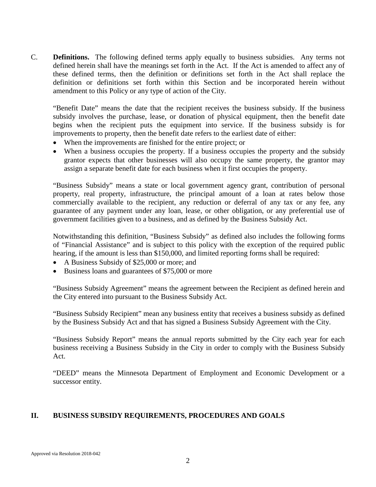C. **Definitions.** The following defined terms apply equally to business subsidies. Any terms not defined herein shall have the meanings set forth in the Act. If the Act is amended to affect any of these defined terms, then the definition or definitions set forth in the Act shall replace the definition or definitions set forth within this Section and be incorporated herein without amendment to this Policy or any type of action of the City.

"Benefit Date" means the date that the recipient receives the business subsidy. If the business subsidy involves the purchase, lease, or donation of physical equipment, then the benefit date begins when the recipient puts the equipment into service. If the business subsidy is for improvements to property, then the benefit date refers to the earliest date of either:

- When the improvements are finished for the entire project; or
- When a business occupies the property. If a business occupies the property and the subsidy grantor expects that other businesses will also occupy the same property, the grantor may assign a separate benefit date for each business when it first occupies the property.

"Business Subsidy" means a state or local government agency grant, contribution of personal property, real property, infrastructure, the principal amount of a loan at rates below those commercially available to the recipient, any reduction or deferral of any tax or any fee, any guarantee of any payment under any loan, lease, or other obligation, or any preferential use of government facilities given to a business, and as defined by the Business Subsidy Act.

Notwithstanding this definition, "Business Subsidy" as defined also includes the following forms of "Financial Assistance" and is subject to this policy with the exception of the required public hearing, if the amount is less than \$150,000, and limited reporting forms shall be required:

- A Business Subsidy of \$25,000 or more; and
- Business loans and guarantees of \$75,000 or more

"Business Subsidy Agreement" means the agreement between the Recipient as defined herein and the City entered into pursuant to the Business Subsidy Act.

"Business Subsidy Recipient" mean any business entity that receives a business subsidy as defined by the Business Subsidy Act and that has signed a Business Subsidy Agreement with the City.

"Business Subsidy Report" means the annual reports submitted by the City each year for each business receiving a Business Subsidy in the City in order to comply with the Business Subsidy Act.

"DEED" means the Minnesota Department of Employment and Economic Development or a successor entity.

### **II. BUSINESS SUBSIDY REQUIREMENTS, PROCEDURES AND GOALS**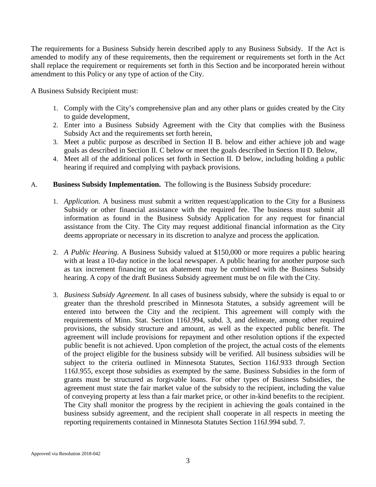The requirements for a Business Subsidy herein described apply to any Business Subsidy. If the Act is amended to modify any of these requirements, then the requirement or requirements set forth in the Act shall replace the requirement or requirements set forth in this Section and be incorporated herein without amendment to this Policy or any type of action of the City.

A Business Subsidy Recipient must:

- 1. Comply with the City's comprehensive plan and any other plans or guides created by the City to guide development,
- 2. Enter into a Business Subsidy Agreement with the City that complies with the Business Subsidy Act and the requirements set forth herein,
- 3. Meet a public purpose as described in Section II B. below and either achieve job and wage goals as described in Section II. C below or meet the goals described in Section II D. Below,
- 4. Meet all of the additional polices set forth in Section II. D below, including holding a public hearing if required and complying with payback provisions.
- A. **Business Subsidy Implementation.** The following is the Business Subsidy procedure:
	- 1. *Application.* A business must submit a written request/application to the City for a Business Subsidy or other financial assistance with the required fee. The business must submit all information as found in the Business Subsidy Application for any request for financial assistance from the City. The City may request additional financial information as the City deems appropriate or necessary in its discretion to analyze and process the application.
	- 2. *A Public Hearing.* A Business Subsidy valued at \$150,000 or more requires a public hearing with at least a 10-day notice in the local newspaper. A public hearing for another purpose such as tax increment financing or tax abatement may be combined with the Business Subsidy hearing. A copy of the draft Business Subsidy agreement must be on file with the City.
	- 3. *Business Subsidy Agreement.* In all cases of business subsidy, where the subsidy is equal to or greater than the threshold prescribed in Minnesota Statutes, a subsidy agreement will be entered into between the City and the recipient. This agreement will comply with the requirements of Minn. Stat. Section 116J.994, subd. 3, and delineate, among other required provisions, the subsidy structure and amount, as well as the expected public benefit. The agreement will include provisions for repayment and other resolution options if the expected public benefit is not achieved. Upon completion of the project, the actual costs of the elements of the project eligible for the business subsidy will be verified. All business subsidies will be subject to the criteria outlined in Minnesota Statutes, Section 116J.933 through Section 116J.955, except those subsidies as exempted by the same. Business Subsidies in the form of grants must be structured as forgivable loans. For other types of Business Subsidies, the agreement must state the fair market value of the subsidy to the recipient, including the value of conveying property at less than a fair market price, or other in-kind benefits to the recipient. The City shall monitor the progress by the recipient in achieving the goals contained in the business subsidy agreement, and the recipient shall cooperate in all respects in meeting the reporting requirements contained in Minnesota Statutes Section 116J.994 subd. 7.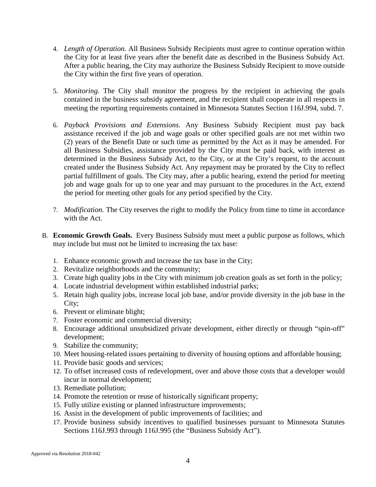- 4. *Length of Operation.* All Business Subsidy Recipients must agree to continue operation within the City for at least five years after the benefit date as described in the Business Subsidy Act. After a public hearing, the City may authorize the Business Subsidy Recipient to move outside the City within the first five years of operation.
- 5. *Monitoring.* The City shall monitor the progress by the recipient in achieving the goals contained in the business subsidy agreement, and the recipient shall cooperate in all respects in meeting the reporting requirements contained in Minnesota Statutes Section 116J.994, subd. 7.
- 6. *Payback Provisions and Extensions.* Any Business Subsidy Recipient must pay back assistance received if the job and wage goals or other specified goals are not met within two (2) years of the Benefit Date or such time as permitted by the Act as it may be amended. For all Business Subsidies, assistance provided by the City must be paid back, with interest as determined in the Business Subsidy Act, to the City, or at the City's request, to the account created under the Business Subsidy Act. Any repayment may be prorated by the City to reflect partial fulfillment of goals. The City may, after a public hearing, extend the period for meeting job and wage goals for up to one year and may pursuant to the procedures in the Act, extend the period for meeting other goals for any period specified by the City.
- 7. *Modification.* The City reserves the right to modify the Policy from time to time in accordance with the Act.
- B. **Economic Growth Goals.** Every Business Subsidy must meet a public purpose as follows, which may include but must not be limited to increasing the tax base:
	- 1. Enhance economic growth and increase the tax base in the City;
	- 2. Revitalize neighborhoods and the community;
	- 3. Create high quality jobs in the City with minimum job creation goals as set forth in the policy;
	- 4. Locate industrial development within established industrial parks;
	- 5. Retain high quality jobs, increase local job base, and/or provide diversity in the job base in the City;
	- 6. Prevent or eliminate blight;
	- 7. Foster economic and commercial diversity;
	- 8. Encourage additional unsubsidized private development, either directly or through "spin-off" development;
	- 9. Stabilize the community;
	- 10. Meet housing-related issues pertaining to diversity of housing options and affordable housing;
	- 11. Provide basic goods and services;
	- 12. To offset increased costs of redevelopment, over and above those costs that a developer would incur in normal development;
	- 13. Remediate pollution;
	- 14. Promote the retention or reuse of historically significant property;
	- 15. Fully utilize existing or planned infrastructure improvements;
	- 16. Assist in the development of public improvements of facilities; and
	- 17. Provide business subsidy incentives to qualified businesses pursuant to Minnesota Statutes Sections 116J.993 through 116J.995 (the "Business Subsidy Act").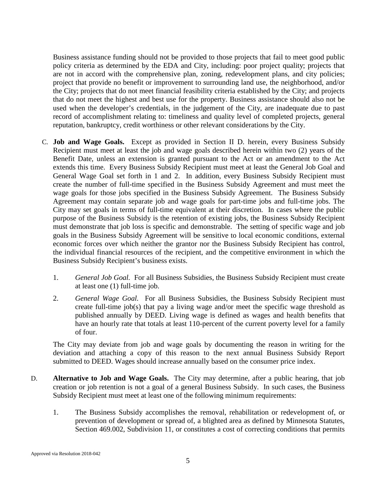Business assistance funding should not be provided to those projects that fail to meet good public policy criteria as determined by the EDA and City, including: poor project quality; projects that are not in accord with the comprehensive plan, zoning, redevelopment plans, and city policies; project that provide no benefit or improvement to surrounding land use, the neighborhood, and/or the City; projects that do not meet financial feasibility criteria established by the City; and projects that do not meet the highest and best use for the property. Business assistance should also not be used when the developer's credentials, in the judgement of the City, are inadequate due to past record of accomplishment relating to: timeliness and quality level of completed projects, general reputation, bankruptcy, credit worthiness or other relevant considerations by the City.

- C. **Job and Wage Goals.** Except as provided in Section II D. herein, every Business Subsidy Recipient must meet at least the job and wage goals described herein within two (2) years of the Benefit Date, unless an extension is granted pursuant to the Act or an amendment to the Act extends this time. Every Business Subsidy Recipient must meet at least the General Job Goal and General Wage Goal set forth in 1 and 2. In addition, every Business Subsidy Recipient must create the number of full-time specified in the Business Subsidy Agreement and must meet the wage goals for those jobs specified in the Business Subsidy Agreement. The Business Subsidy Agreement may contain separate job and wage goals for part-time jobs and full-time jobs. The City may set goals in terms of full-time equivalent at their discretion. In cases where the public purpose of the Business Subsidy is the retention of existing jobs, the Business Subsidy Recipient must demonstrate that job loss is specific and demonstrable. The setting of specific wage and job goals in the Business Subsidy Agreement will be sensitive to local economic conditions, external economic forces over which neither the grantor nor the Business Subsidy Recipient has control, the individual financial resources of the recipient, and the competitive environment in which the Business Subsidy Recipient's business exists.
	- 1. *General Job Goal.* For all Business Subsidies, the Business Subsidy Recipient must create at least one (1) full-time job.
	- 2. *General Wage Goal.* For all Business Subsidies, the Business Subsidy Recipient must create full-time job(s) that pay a living wage and/or meet the specific wage threshold as published annually by DEED. Living wage is defined as wages and health benefits that have an hourly rate that totals at least 110-percent of the current poverty level for a family of four.

The City may deviate from job and wage goals by documenting the reason in writing for the deviation and attaching a copy of this reason to the next annual Business Subsidy Report submitted to DEED. Wages should increase annually based on the consumer price index.

- D. **Alternative to Job and Wage Goals.** The City may determine, after a public hearing, that job creation or job retention is not a goal of a general Business Subsidy. In such cases, the Business Subsidy Recipient must meet at least one of the following minimum requirements:
	- 1. The Business Subsidy accomplishes the removal, rehabilitation or redevelopment of, or prevention of development or spread of, a blighted area as defined by Minnesota Statutes, Section 469.002, Subdivision 11, or constitutes a cost of correcting conditions that permits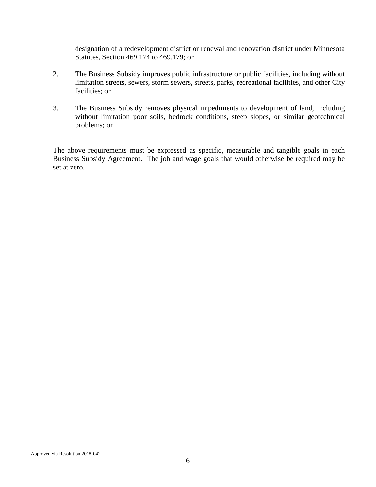designation of a redevelopment district or renewal and renovation district under Minnesota Statutes, Section 469.174 to 469.179; or

- 2. The Business Subsidy improves public infrastructure or public facilities, including without limitation streets, sewers, storm sewers, streets, parks, recreational facilities, and other City facilities; or
- 3. The Business Subsidy removes physical impediments to development of land, including without limitation poor soils, bedrock conditions, steep slopes, or similar geotechnical problems; or

The above requirements must be expressed as specific, measurable and tangible goals in each Business Subsidy Agreement. The job and wage goals that would otherwise be required may be set at zero.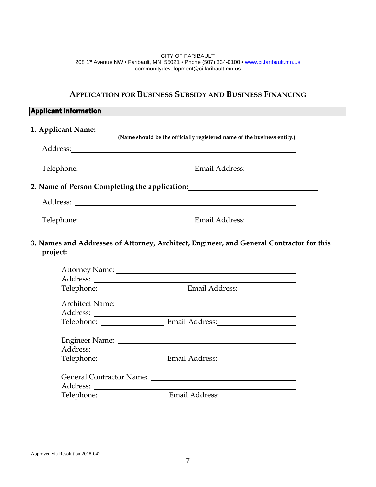CITY OF FARIBAULT 208 1st Avenue NW • Faribault, MN 55021 • Phone (507) 334-0100 • [www.ci.faribault.mn.us](http://www.ci.faribault.mn.us/) communitydevelopment@ci.faribault.mn.us

## **APPLICATION FOR BUSINESS SUBSIDY AND BUSINESS FINANCING**

| <b>Applicant Information</b> |                                                                                                                                                                                                                                |  |  |  |
|------------------------------|--------------------------------------------------------------------------------------------------------------------------------------------------------------------------------------------------------------------------------|--|--|--|
|                              | 1. Applicant Name: (Name should be the officially registered name of the business entity.)                                                                                                                                     |  |  |  |
|                              |                                                                                                                                                                                                                                |  |  |  |
|                              | Address: Andreas Address: Address: Address: Address: Address: Address: Address: Address: Address: Address: Address: Address: Address: Address: Address: Address: Address: Address: Address: Address: Address: Address: Address |  |  |  |
| Telephone:                   | Email Address: Email Address:                                                                                                                                                                                                  |  |  |  |
|                              | 2. Name of Person Completing the application:                                                                                                                                                                                  |  |  |  |
|                              |                                                                                                                                                                                                                                |  |  |  |
| Telephone:                   | Email Address: Email Address:                                                                                                                                                                                                  |  |  |  |
| project:                     | 3. Names and Addresses of Attorney, Architect, Engineer, and General Contractor for this                                                                                                                                       |  |  |  |
| Telephone:                   | Email Address: Email Andress:                                                                                                                                                                                                  |  |  |  |
|                              |                                                                                                                                                                                                                                |  |  |  |
|                              | Telephone: Email Address: Email Address:                                                                                                                                                                                       |  |  |  |
|                              |                                                                                                                                                                                                                                |  |  |  |
|                              |                                                                                                                                                                                                                                |  |  |  |
|                              | Telephone: Email Address: Email Address:                                                                                                                                                                                       |  |  |  |
|                              |                                                                                                                                                                                                                                |  |  |  |
|                              |                                                                                                                                                                                                                                |  |  |  |
|                              |                                                                                                                                                                                                                                |  |  |  |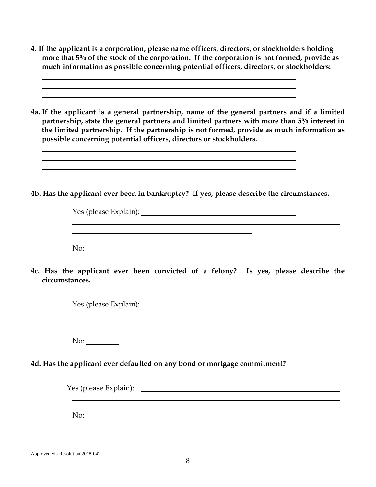- **4. If the applicant is a corporation, please name officers, directors, or stockholders holding more that 5% of the stock of the corporation. If the corporation is not formed, provide as much information as possible concerning potential officers, directors, or stockholders:**
- **4a. If the applicant is a general partnership, name of the general partners and if a limited partnership, state the general partners and limited partners with more than 5% interest in the limited partnership. If the partnership is not formed, provide as much information as possible concerning potential officers, directors or stockholders.**

**4b. Has the applicant ever been in bankruptcy? If yes, please describe the circumstances.** 

l

Yes (please Explain): <u> 1980 - Johann Barn, fransk politik (f. 1980)</u> No:

**4c. Has the applicant ever been convicted of a felony? Is yes, please describe the circumstances.** 

| Yes (please Explain): _ |  |  |  |
|-------------------------|--|--|--|
|                         |  |  |  |
|                         |  |  |  |
|                         |  |  |  |

No:

## **4d. Has the applicant ever defaulted on any bond or mortgage commitment?**

Yes (please Explain): No: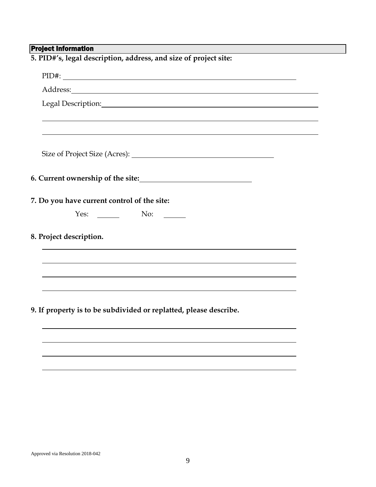## Project Information

| 5. PID#'s, legal description, address, and size of project site:                                                                                                                                                                                                                                                                                                                                     |  |  |
|------------------------------------------------------------------------------------------------------------------------------------------------------------------------------------------------------------------------------------------------------------------------------------------------------------------------------------------------------------------------------------------------------|--|--|
|                                                                                                                                                                                                                                                                                                                                                                                                      |  |  |
|                                                                                                                                                                                                                                                                                                                                                                                                      |  |  |
|                                                                                                                                                                                                                                                                                                                                                                                                      |  |  |
|                                                                                                                                                                                                                                                                                                                                                                                                      |  |  |
|                                                                                                                                                                                                                                                                                                                                                                                                      |  |  |
|                                                                                                                                                                                                                                                                                                                                                                                                      |  |  |
|                                                                                                                                                                                                                                                                                                                                                                                                      |  |  |
| 7. Do you have current control of the site:                                                                                                                                                                                                                                                                                                                                                          |  |  |
| Yes: $\_\_\_\_\_\_\_\_\$ No:<br>$\mathcal{L}=\frac{1}{2} \sum_{i=1}^{n} \frac{1}{2} \sum_{j=1}^{n} \frac{1}{2} \sum_{j=1}^{n} \frac{1}{2} \sum_{j=1}^{n} \frac{1}{2} \sum_{j=1}^{n} \frac{1}{2} \sum_{j=1}^{n} \frac{1}{2} \sum_{j=1}^{n} \frac{1}{2} \sum_{j=1}^{n} \frac{1}{2} \sum_{j=1}^{n} \frac{1}{2} \sum_{j=1}^{n} \frac{1}{2} \sum_{j=1}^{n} \frac{1}{2} \sum_{j=1}^{n} \frac{1}{2} \sum_{$ |  |  |
| 8. Project description.                                                                                                                                                                                                                                                                                                                                                                              |  |  |
|                                                                                                                                                                                                                                                                                                                                                                                                      |  |  |
|                                                                                                                                                                                                                                                                                                                                                                                                      |  |  |
| 9. If property is to be subdivided or replatted, please describe.                                                                                                                                                                                                                                                                                                                                    |  |  |
|                                                                                                                                                                                                                                                                                                                                                                                                      |  |  |
|                                                                                                                                                                                                                                                                                                                                                                                                      |  |  |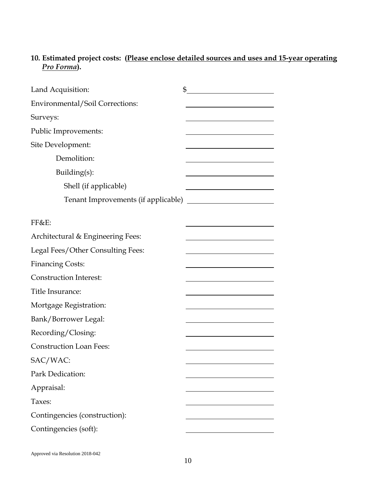## **10. Estimated project costs: (Please enclose detailed sources and uses and 15-year operating**  *Pro Forma***).**

| Land Acquisition:                 | $\frac{1}{2}$                                           |
|-----------------------------------|---------------------------------------------------------|
| Environmental/Soil Corrections:   |                                                         |
| Surveys:                          |                                                         |
| Public Improvements:              |                                                         |
| Site Development:                 |                                                         |
| Demolition:                       |                                                         |
| Building(s):                      |                                                         |
| Shell (if applicable)             | <u> 1989 - Johann Stoff, Amerikaansk politiker (</u>    |
|                                   |                                                         |
| FF&E:                             |                                                         |
| Architectural & Engineering Fees: | <u> 1989 - Johann Barn, mars ann an t-Amhair an t-A</u> |
| Legal Fees/Other Consulting Fees: |                                                         |
| <b>Financing Costs:</b>           |                                                         |
| <b>Construction Interest:</b>     |                                                         |
| Title Insurance:                  |                                                         |
| Mortgage Registration:            |                                                         |
| Bank/Borrower Legal:              |                                                         |
| Recording/Closing:                |                                                         |
| <b>Construction Loan Fees:</b>    |                                                         |
| SAC/WAC:                          |                                                         |
| Park Dedication:                  |                                                         |
| Appraisal:                        |                                                         |
| Taxes:                            |                                                         |
| Contingencies (construction):     |                                                         |
| Contingencies (soft):             |                                                         |
|                                   |                                                         |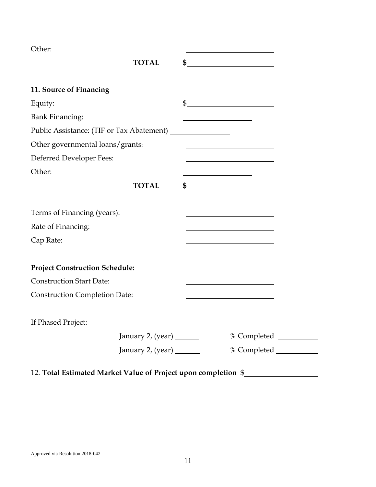Other:

|                                                                | <b>TOTAL</b> | $\sim$                                                                                                               |  |
|----------------------------------------------------------------|--------------|----------------------------------------------------------------------------------------------------------------------|--|
| 11. Source of Financing                                        |              |                                                                                                                      |  |
| Equity:                                                        |              | $\frac{1}{2}$                                                                                                        |  |
| <b>Bank Financing:</b>                                         |              |                                                                                                                      |  |
|                                                                |              |                                                                                                                      |  |
| Other governmental loans/grants:                               |              |                                                                                                                      |  |
| Deferred Developer Fees:                                       |              | <u> 1989 - Johann Stoff, Amerikaansk politiker (</u>                                                                 |  |
| Other:                                                         |              |                                                                                                                      |  |
|                                                                | <b>TOTAL</b> | $\sim$                                                                                                               |  |
|                                                                |              |                                                                                                                      |  |
| Terms of Financing (years):                                    |              |                                                                                                                      |  |
| Rate of Financing:                                             |              |                                                                                                                      |  |
| Cap Rate:                                                      |              |                                                                                                                      |  |
|                                                                |              |                                                                                                                      |  |
| <b>Project Construction Schedule:</b>                          |              |                                                                                                                      |  |
| <b>Construction Start Date:</b>                                |              | <u> 1980 - Johann Barn, mars ann an t-Amhain Aonaich an t-Aonaich an t-Aonaich ann an t-Aonaich ann an t-Aonaich</u> |  |
| <b>Construction Completion Date:</b>                           |              | <u> 1989 - Johann Barbara, martxa alemaniar a</u>                                                                    |  |
| If Phased Project:                                             |              |                                                                                                                      |  |
|                                                                |              |                                                                                                                      |  |
|                                                                |              |                                                                                                                      |  |
| 12. Total Estimated Market Value of Project upon completion \$ |              |                                                                                                                      |  |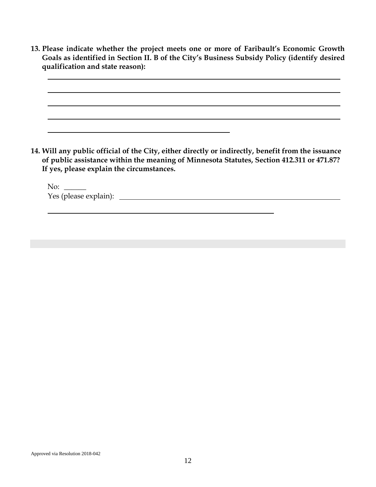**13. Please indicate whether the project meets one or more of Faribault's Economic Growth Goals as identified in Section II. B of the City's Business Subsidy Policy (identify desired qualification and state reason):**

**14. Will any public official of the City, either directly or indirectly, benefit from the issuance of public assistance within the meaning of Minnesota Statutes, Section 412.311 or 471.87? If yes, please explain the circumstances.**

 $No:$ Yes (please explain):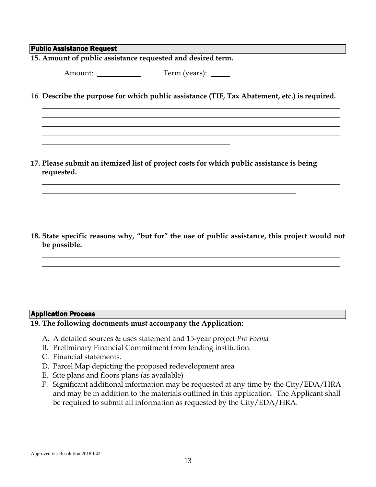#### Public Assistance Request

**15. Amount of public assistance requested and desired term.**

Amount: Term (years):

16. **Describe the purpose for which public assistance (TIF, Tax Abatement, etc.) is required.**

**17. Please submit an itemized list of project costs for which public assistance is being requested.**

**18. State specific reasons why, "but for" the use of public assistance, this project would not be possible.** 

#### Application Process

**19. The following documents must accompany the Application:**

- A. A detailed sources & uses statement and 15-year project *Pro Forma*
- B. Preliminary Financial Commitment from lending institution.
- C. Financial statements.
- D. Parcel Map depicting the proposed redevelopment area
- E. Site plans and floors plans (as available)
- F. Significant additional information may be requested at any time by the City/EDA/HRA and may be in addition to the materials outlined in this application. The Applicant shall be required to submit all information as requested by the City/EDA/HRA.